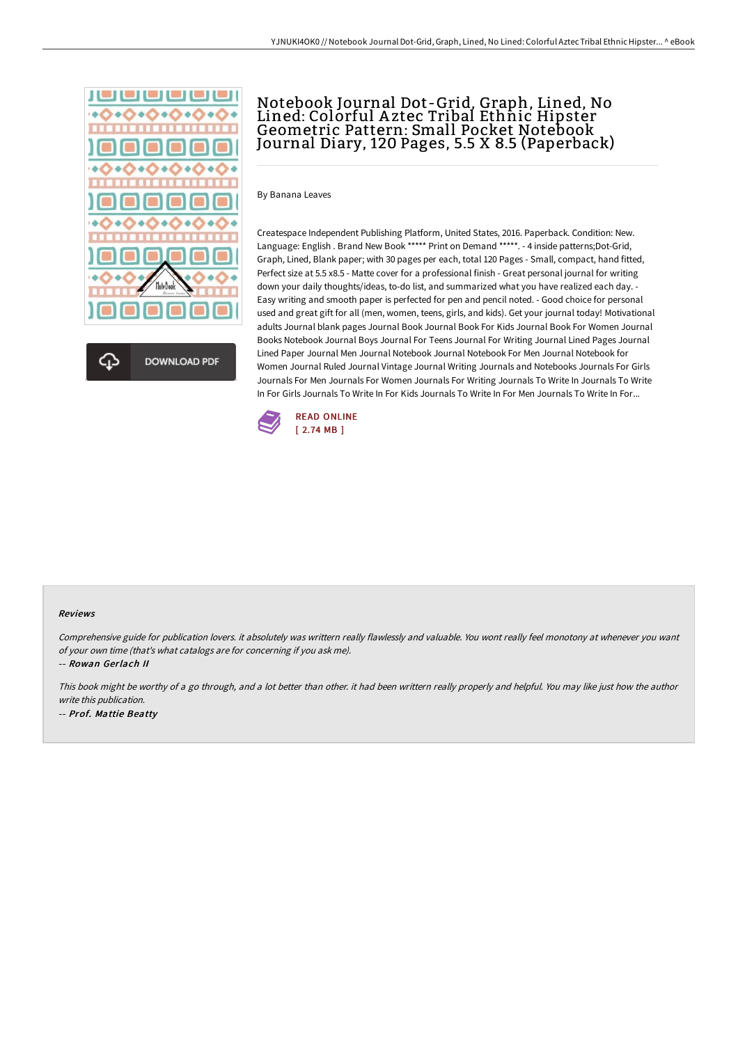



# Notebook Journal Dot-Grid, Graph, Lined, No Lined: Colorful A ztec Tribal Ethnic Hipster Geometric Pattern: Small Pocket Notebook Journal Diary, 120 Pages, 5.5 X 8.5 (Paperback)

By Banana Leaves

Createspace Independent Publishing Platform, United States, 2016. Paperback. Condition: New. Language: English . Brand New Book \*\*\*\*\* Print on Demand \*\*\*\*\*. - 4 inside patterns;Dot-Grid, Graph, Lined, Blank paper; with 30 pages per each, total 120 Pages - Small, compact, hand fitted, Perfect size at 5.5 x8.5 - Matte cover for a professional finish - Great personal journal for writing down your daily thoughts/ideas, to-do list, and summarized what you have realized each day. - Easy writing and smooth paper is perfected for pen and pencil noted. - Good choice for personal used and great gift for all (men, women, teens, girls, and kids). Get your journal today! Motivational adults Journal blank pages Journal Book Journal Book For Kids Journal Book For Women Journal Books Notebook Journal Boys Journal For Teens Journal For Writing Journal Lined Pages Journal Lined Paper Journal Men Journal Notebook Journal Notebook For Men Journal Notebook for Women Journal Ruled Journal Vintage Journal Writing Journals and Notebooks Journals For Girls Journals For Men Journals For Women Journals For Writing Journals To Write In Journals To Write In For Girls Journals To Write In For Kids Journals To Write In For Men Journals To Write In For...



#### Reviews

Comprehensive guide for publication lovers. it absolutely was writtern really flawlessly and valuable. You wont really feel monotony at whenever you want of your own time (that's what catalogs are for concerning if you ask me).

-- Rowan Gerlach II

This book might be worthy of <sup>a</sup> go through, and <sup>a</sup> lot better than other. it had been writtern really properly and helpful. You may like just how the author write this publication. -- Prof. Mattie Beatty